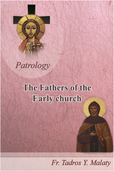Patrology

#### The Fathers of the **Early church**

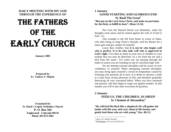**DAILY MEETING WITH MY GOD**  *THROUGH THE EXPERIENCE OF* 

# THE FATHERS OF THE EARLY CHURCH

**January 2003** 

**Prepared by Fr. Tadros Y. Malaty** 

<span id="page-1-1"></span><span id="page-1-0"></span>**Translated by St. Mark's Coptic Orthodox Church P. O. Box 564Englewood - Colorado 80110 Phone 303 874 5065** 

*1 January* 

**GOOD STARTING AND GLORIOUS END St. Basil The Great[1](#page-1-0) "But put on the Lord Jesus Christ, and make no provision for the flesh, to fulfill its lusts". (Rom 13:14)** 

Not even the blessed David was blameless, when his thoughts went astray and he sinned against the wife of Uriah (2 Sam. 11).

One example is the fall from better to worse of Judas, who after being so long Christ's disciple, sold his Master for a mean gain and got a halter for himself.

Learn then, brother, that **it is not he who begins well who is perfect. It is he who ends well who is approved in God's sight**. Give then no sleep to your eyes or slumber to your eyelids that you may be delivered "as a roe from the net and a bird from the snare." For when you are passing through the midst of snares you are treading on top of a perilous high wall.

Do not attempt extreme discipline and be aware of over confidence in yourself. When attempting extreme discipline, you may bring upon yourself a crowd of temptations caused by irritating your passions all at once. It is better to advance a little at a time from certain pleasures of life, and therefore gradually destroying all your unwanted habits. When you have mastered one passion, and then begin to wage war against another. In this manner you will in due time overcome all passions.

#### *2 January*

# **FEED US, THE CHILDREN, AS SHEEP St. Clement of Alexandria[2](#page-1-1)**

**"He will feed His flock like a shepherd; He will gather the lambs with His arm, and carry them in His bosom, and gently lead those who are with young." (Isa. 40:11)** 

*<sup>1</sup> Letter, 42. Joselyn Yacoub* 

<sup>2</sup> Paedagogus 1:9. *(cf. N & PN Frs.)*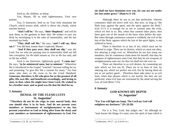Feed us, the children, as sheep.

Yea, Master, fill us with righteousness, Your own pasture.

Yea, O Instructor, feed us on Your holy mountain the Church, which towers aloft, which is above the clouds, which touches heaven.

"**And I will be**," He says, "**their Shepherd**," and will be near them, as the garment to their skin. He wishes to save my flesh by enveloping it in the robe of immortality, and He has anointed my body.

"**They shall call Me**," He says, "**and I will say, Here am I**." You did hear sooner than I expected, Master.

"**And if they pass over, they shall not slip**," says the Lord. For we who are passing over to immortality shall not fall into corruption, for He shall sustain us. For so He has said, and so He has willed.

Such is our Instructor, righteously good. "**I came not,**" He says, "**to be ministered unto, but to minister**." Wherefore He is introduced in the Gospel "wearied," because toiling for us, and promising "to give His life a ransom for many." For him alone who does so He owns to be the Good Shepherd. **Generous, therefore, is He who gives for us the greatest of all gifts, His own life; and beneficent exceedingly, and loving to men, in that, when He might have been Lord, He wished to be a brother man; and so good was He that He died for us.** 

#### *5 January*

## **DENIAL OF THE FLESH LUSTS St. Augustine[1](#page-2-0)**

 **"Therefore do not let sin reign in your mortal body, that you should obey it in its lusts. And do not present your members as instruments of unrighteousness to sin, but present yourselves to God as being alive from the dead, and your members as instruments of righteousness to God. For** 

#### **sin shall not have dominion over you, for you are not under law but under grace." (Rom 6:11-14)**

Although there be not as yet that perfection, wherein continence shall not strive with vice. But now, so long as "the flesh lusts against the spirit, and the spirit against the flesh," (Gal 5:17) it is enough for us not to consent unto the evils, which we feel in us. But, when that consent takes place, then there goes out of the mouth of the heart what defiles the man. But when through continence consent is withheld, the evil of the lust of the flesh, against which the lust of the spirit fights, is not suffered to harm…

There is therefore in us lust of sin, which must not be suffered to reign. There are its desires, which we must not obey, lest obeying it reign over us. Wherefore let not lust usurp our members, but let continence claim them for herself; that they be weapons of righteousness unto God, that they be not weapons of unrighteousness unto sin; for thus sin shall not rule over us.

There are therefore in us evil desires, by consenting not unto which we live not ill. There are in us lusts of sins, by obeying not, which we perfect not evil, but by having them do not as yet perfect good… Therefore there take place in us evil lusts, when that pleases which is not lawful; but they are not perfected, when evil lusts are restrained by the mind serving the Law of God (Rom 7:25).

## *6 January*

# **GOD KNOWS MY DEPTH St. Augustine[2](#page-2-0)**

#### **"For You will light my lamp. The Lord my God will enlighten my darkness." (Ps 18:28)**

For it is You, Lord, that judges me;" for although no "man knows the things of a man, save the spirit of man which is

<span id="page-2-0"></span><sup>&</sup>lt;sup>1</sup> Continence, 5, 8, 20. *(cf. N & PN Frs.)* 

<sup>2</sup> Confessions, 10:5:7. *(cf. N & PN Frs.)*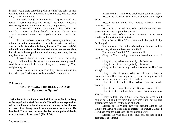in him," yet is there something of man which "the spirit of man which is in him" itself knows not. But You, Lord, who has made him, knows him wholly.

I indeed, though in Your sight I despise myself, and reckon "myself but dust and ashes,"' yet know something concerning You, which I know not concerning myself.

And assuredly "now we see through a glass darkly," not ye<sup>t</sup>"face to face." So long, therefore, as I am "absent" from You, I am more "present" with myself than with You (2 Cor. 5:8).

I know that You canst not suffer violence; but for myself **I know not what temptations I am able to resist, and what I am not able. But there is hope, because You are faithful, who wilt not suffer us to be tempted above that we are able**, but wilt with the temptation also make a way to escape, that we may be able to bear it.

I would therefore confess what I know concerning myself; I will confess also what I know not concerning myself. And because what I do know of myself, I know by Your enlightening me.

What I know not of myself, so long I know not until the time when my "darkness be as the noonday" in Your sight.

#### *7 January*

# **PRAISE TO GOD, THE BELOVED ONE St. Ephram the Syrian[1](#page-3-0)**

**"Who, being in the form of God, did not consider it robbery to be equal with God, but made Himself of no reputation, taking the form of a bondservant, and coming in the likeness of men. And being found in appearance as a man, He humbled Himself and became obedient to the point of death, even the death of the cross." (Phil 2:5-8)** 

Blessed be the Fruit, Who lowered Himself to our famished state!

Blessed be the Good One, Who suddenly enriched our necessitousness and supplied our needs!

Blessed He Whose tender mercies made Him condescend to visit our infirmities!…

Praise be to Him Who made void the Sabbath by fulfilling it!

Praise too to Him Who rebuked the leprosy and it remained not, Whom the fever saw and fled!

Praise to the Merciful, Who bore our toil!

Glory to Your coming, which quickened the sons of men!

Glory to Him, Who came to us by His first-born!

Glory to the Silence that spoke by His Word.

Glory to the One on high, Who was seen by His Dayspring!

Glory to the Heavenly, Who was pleased to have a Body, that in it His virtue might be felt, and He might by that Body show mercy on His household's bodies!

Glory to that Hidden One, Whose Son was made manifest!

Glory to that Living One, Whose Son was made to die!

Glory to that Great One, Whose Son descended and was small!…

Glory to that Hidden One, Who even with the mind cannot be felt at all by them that pry into Him; but by His graciousness, was felt by the hand of man!…

Blessed be He Whose own will brought Him to the Womb and Birth, to arms and to increase [in stature]. Blessed He whose changes purchased life for human nature.

Blessed He Who sealed our soul, and adorned it and espoused it to Himself.

BLESSED be that Child, Who gladdened Bethlehem today!

Blessed be the Babe Who made manhood young again today!

<span id="page-3-0"></span> $<sup>1</sup>$  Hymns on Nativity, 2.</sup>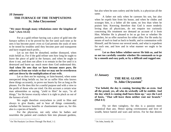# *10 January*  **THE FURNACE OF THE TEMPTATIONS St. John Chrysostom[1](#page-4-0)**

#### **"We must through many tribulations enter the kingdom of God." (Acts 14:22)**

For as a gold refiner having cast a piece of gold into the furnace suffers it to be proved by the fire until such time as he sees it has become purer: even so God permits the souls of men to be tested by troubles until they become pure and transparent and have reaped much profit...

Let us not then be disturbed, neither dismayed, when trials befall us. For if the gold refiner sees how long he ought to leave the piece of gold in the furnace, and when he ought to draw it out, and does not allow it to remain in the fire until it is destroyed and burnt up: much more does God understand this. **And when He sees that we have become more pure, He releases us from our trials so that we may not be overthrown and cast down by the multiplication of our evils.** 

Let us then not be repining, or faint-hearted, when some unexpected thing befalls us; but let us suffer Him who knows these things accurately, to prove our hearts by fire as long as He pleases. For He does this for a useful purpose and with a view to the profit of those who are tried. On this account a certain wise man admonishes us saying, "yield to Him" he says, "in all things," for He knows exactly when it is right to pluck us out of the furnace of evil.

We ought therefore everywhere to yield to Him and always to give thanks, and to bear all things contentedly, whether He bestows benefits or chastisement upon us, for this also is a species of benefit.

For the physician, not only when he bathes and nourishes the patient and conducts him into pleasant gardens, but also when he uses cutlery and the knife, is a physician all the same.

A father not only when he caresses his son, but also when he expels him from his house, and when he chides and scourges him, is a father all the same, no less than when he praises him. Knowing therefore that God is more tenderly loving than all physicians, do not enquire too curiously concerning His treatment nor demand an account of it from Him. Whether He is pleased to let us go free or whether He punishes, let us offer ourselves for either alike. For He seeks by means of each to lead us back to health, and to communion with Himself, and He knows our several needs, and what is expedient for each one, and how and in what manner we ought to be saved…

**Let us then follow whither-soever He bids us, and let us not too carefully consider whether He commands us to go by a smooth and easy path, or by a difficult and rugged one.** 

## *11 January*

# **THE REAL GLORY St. John Chrysostom[2](#page-4-0)**

**"For behold, the day is coming, burning like an oven. And all the proud, yes, all who do wickedly will be stubble. And the day which is coming shall burn them up," says the Lord of hosts, "That will leave them neither root nor branch." (Mal 4:1)** 

Fly we then vainglory, for this is a passion more tyrannical than any. Hence spring covetousness and love of wealth, hence hatred and wars and strives. For he that desires

<span id="page-4-0"></span> $1$  On The Paralytic Let Down Through The Roof, 1-2.

<sup>2</sup> On John, homily 28.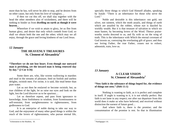more than he has, will never be able to stop, and he desires from no other cause, but only from his love of vainglory…

If then we cut this off, we shall slay together with the head the other members also of wickedness, and there will be nothing to hinder us from **dwelling on earth as though it were heaven**...

Wherefore if we wish to attain to glory, let us flee from human glory, and desire that only which cometh from God; so shall we obtain both the one and the other; which may we all enjoy, through the grace and loving kindness of our Lord Jesus.

#### *12 January*

## **THE HEAVENLY TREASURES St. Clement of Alexandria[1](#page-5-0)**

**"Therefore we do not lose heart. Even though our outward man is perishing, yet the inward man is being renewed day by day." (2 Cor 4:16)** 

Some there are, who, like worms wallowing in marshes and mud in the streams of pleasure, feed on foolish and useless delights, swinish men. For swine, it is said, like mud better than pure water.

Let us not then be enslaved or become swinish; but, as true children of the light, let us raise our eyes and look on the light, lest the Lord discover us to be spurious…

Let us therefore repent, and pass from ignorance to knowledge, from foolishness to wisdom, from licentiousness to self-restraint, from unrighteousness to righteousness, from godlessness to God.

It is an enterprise of noble daring to take our way to God; and the enjoyment of many other good things is within the reach of the lovers of righteousness, who pursue eternal life,

Noble and desirable is this inheritance: not gold, not silver, not raiment, which the moth assails, and things of earth which are assailed by the robber, whose eye is dazzled by worldly wealth. But it is that treasure of salvation to which we must hasten, by becoming lovers of the Word. Thence praiseworthy works descend to us, and fly with us on the wing of truth. This is the inheritance with Which the eternal covenant of God invests us, conveying the everlasting gift of grace; and thus our loving Father, the true Father, ceases not to exhort, admonish, train, love us.

## *13 January*

## **A CLEAR VISION St. Clement of Alexandria[2](#page-5-0)**

#### **"Now faith is the substance of things hoped for, the evidence of things not seen." (Heb 11:1)**

Nothing is wanting to faith, as it is perfect and complete in itself. If aught is wanting to it, it is not wholly perfect. But faith is not lame in any respect; nor after our departure from this world does it make us who have believed, and received without distinction the earnest of future good…

And where faith is, there is the promise; and the consummation of the promise is rest. So that in illumination

specially those things to which God Himself alludes, speaking by Isaiah: "There is an inheritance for those who serve the Lord."

<span id="page-5-0"></span> $<sup>1</sup>$  Exhortation to the Heathen  $<sup>10</sup>$ .</sup></sup>

<sup>2</sup> Paedagogus 1:6.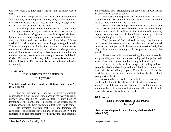what we receive is knowledge, and the end of knowledge is rest...

As, then, inexperience comes to an end by experience, and perplexity by finding a clear outlet, so by illumination must darkness disappear. The darkness is ignorance, through which we fall into sins, purblind as to the truth.

Knowledge, then, is the illumination we receive, which makes ignorance disappear, and endows us with clear vision…

Those bonds of ignorance are with all speed slackened by human faith and divine grace, our transgressions being taken away by divine medicine, the baptism of the Word. We are washed from all our sins, and are no longer entangled in evil. This is the one grace of illumination, that our characters are not the same as before our washing. And since knowledge springs up with illumination, shedding its beams around the mind, the moment we hear, we who were untaught become disciples 0f Christ... For instruction the Holy Spirit trains leads to faith, and faith with baptism. For that faith is the one universal salvation of humanity.

#### *17 January*

# **JESUS NEVER DECEIVES US St. Cyprian[1](#page-6-0)**

#### **"But take heed; see, I have told you all things beforehand." (Mark 13:23)**

For he who wars for God, dearest brethren, ought to acknowledge himself as one who, placed in the heavenly camp, already hopes for divine things, so that we may have no trembling at the storms and whirlwinds of the world, and no disturbance, since the Lord had foretold that these would come.

He predicted and said that wars, and famines, and earthquakes, and pestilences would arise in each place. With the exhortation of His fore-seeing word, instructing, and teaching,

and preparing, and strengthening the people of His Church for all endurance of things to come.

And lest an unexpected and new dread of mischiefs should shake us, He previously warned us that adversity would increase more and more in the last times.

Behold, the very things occur which were spoken; and since those occur which were foretold before, whatever things were promised will also follow; as the Lord Himself promises, saying, "But when you see all these things come to pass, know ye that the kingdom of God is at hand." (Luke 21: 31)

The kingdom of God, beloved brethren, is beginning to be at hand; the rewards of life, and the rejoicing of eternal salvation, and the perpetual gladness and possession lately lost of paradise, are now coming, with the passing away of the world.

Already heavenly things are taking the place of earthly, and great things of small, and eternal things of things that fade away. What room is there here for anxiety and solicitude?

Who, in the midst of these things, is trembling and sad, except he who is without hope and faith? For it is for him to fear death who is not willing to go to Christ. It is for him to be unwilling to go to Christ who does not believe that he is about to reign with Christ.

For it is written that the just lives by faith. If you are just, and live by faith, if you truly believe in Christ, why, since you are about to be with Christ, and are secure of the Lord's promise, do you not embrace the assurance that you are called to Christ, and rejoice that you are freed from the devil?

## *18 January*

## **MAY YOUR HEART BE PURE Hermas[2](#page-6-1)**

**"Blessed are the pure in heart, for they shall see God." (Matt 5:8-9)** 

<span id="page-6-1"></span><span id="page-6-0"></span><sup>&</sup>lt;sup>1</sup> Treatise 7, On the Mortality, 2, 3.

<sup>&</sup>lt;sup>2</sup> Shepherd, Commandment 2.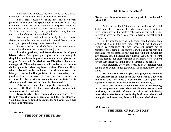## **St. John Chrysostom[1](#page-7-0)**

Be simple and guileless, and you will be as the children who know not the wickedness that ruins the life of men.

**First, then, speak evil of no one, nor listen with pleasure to any one who speaks evil of another.** But if you listen, you will partake of the sin of him who speaks evil, if you believe the slander, which you hear; for believing it, you will also have something to say against your brother. Thus, then, will you be guilty of the sin of him who slanders.

For slander is evil and an unsteady demon. It never abides in peace, but always remains in discord. Keep yourself from it, and you will always be at peace with all.

Put on a holiness in which there is no wicked cause of offense, but all deeds that are equable and joyful.

**Practice goodness; and from the rewards of your labors, which God gives you, give to all the needy in simplicity, not hesitating as to whom you are to give or not to give. Give to all, for God wishes His gifts to be shared amongst all. They who receive, will render an account to God why and for what they have received. For the afflicted who receive will not be condemned, but they who receive on false pretenses will suffer punishment. He, then, who gives is guiltless. For as he received from the Lord, so has he accomplished his service in simplicity, not hesitating as to whom he should give and to whom he should not give.** 

**This service, then, if accomplished in simplicity, is glorious with God. He, therefore, who thus ministers in simplicity, will live to God.** 

**Keep therefore these commandments, as I have given them to you, that your repentance and the repentance of your house may be found in simplicity, and your heart may be pure and stainless."** 

<span id="page-7-1"></span><span id="page-7-0"></span>*19 January* 

**THE JOY OF THE TEARS** 

**"Blessed are those who mourn, for they will be comforted." (Matt 5:4)** 

And how says Paul, "Rejoice in the Lord always?" (Phil 4: 4) The joy he is speaking of is what springs from those tears. For as men's joy for the world's sake has a sorrow in the same lot with it, even so godly tears issue a germ of perpetual and unfading joy.

In this way the very harlot became more honorable than virgins when seized by this fire. That is, being thoroughly warmed by repentance, she was thenceforth carried out of herself by her longing desire toward Christ; loosing her hair, and drenching with her tears His holy feet, and wiping them with her own tresses, and exhausting the ointment. And all these were outward results, but those wrought in her mind were far more fervent than these; which things God Himself alone beheld.

And therefore, every one, when he hears, rejoices with her and takes delight in her good works, and acquits her of every blame.

**But if we that are evil pass this judgment, consider what sentence he obtained from that God who is a lover of mankind; and how much, even before God's gifts, her repentance caused her to reap in the way of blessing…** 

**For I seek those tears which are shed not for display, but in compunction; those which trickle down secretly and in closets, and in sight of no man, softly and noiselessly; those which arise from a certain depth of mind, those shed in anguish and in sorrow, those which are for God alone.** 

*20 January* 

**THE NEED OF DAVID'S KEY St. Jerome[1](#page-7-1)**

 $<sup>1</sup>$  On Matt. Hom. 6:8.</sup>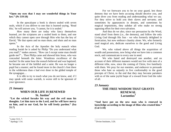**"Open my eyes that I may see wonderful things in Your law." (Ps 119:18)** 

In the apocalypse a book is shown sealed with seven seals, which if you deliver to one that is learned saying, 'Read this,' he will answer you, 'I cannot, for it is sealed.'

How many there are today who fancy themselves learned, yet the scriptures are a sealed book to them, and one which they cannot open save through Him who has the key of David, "He that opens and no man shuts; and shuts and no man opens."

In the Acts of the Apostles the holy eunuch when reading Isaiah he is asked by Philip "Do you understand what you read?," makes answer, "How can I except some man should guide me?"... Then Philip came and showed him Jesus, who was concealed beneath the letter. Wondrous excellence of the teacher! In the same hour the eunuch believed and was baptized; he became one of the faithful and a saint. He was no longer a pupil but a master; and he found more in the church's font there in the wilderness than e had ever done in the gilded temple of the synagogue…

It is idle to try to teach what you do not know, and, if I may speak with some warmth, is worse still to be ignorant of your ignorance.

#### *21 January*

# **WHEN OUR LIFE IS RENEWED St. Justine[2](#page-8-0)**

 **"Let the wicked forsake his way and the evil man his thoughts. Let him turn to the Lord, and he will have mercy on him, and to our God, for he will freely pardon." (Isa 55:7)** 

For we forewarn you to be on your guard, lest those demons that we have been accusing should deceive you, and quite diver you from reading and understanding what we say. For they strive to hold you their slaves and servants; and sometimes by appearances in dreams, and sometimes by magical impositions, they subdue all who make no strong opposing effort for their own salvation.

And thus do we also, since our persuasion by the Word, stand aloof from them (i.e., the demons), and follow the only Living God through His Son - we who formerly delighted in fornication, but now embrace chastity alone. We, who formerly used magical arts, dedicate ourselves to the good and Living God.

We, who valued above all things the acquisition of wealth and possessions, now bring what we have into a common stock, and communicate to every one in need.

We who hated and destroyed one another, and on account of their different manners would not live with men of a different tribe, now, since the coming of Christ, live familiarly with them. We pray for our enemies, and endeavor to persuade those who hate us unjustly to live conformably to the good precepts of Christ, to the end that they may become partakers with us of the same joyful hope of a reward from God the ruler of all.

## *23 January*

# **THE FREE WISDOM THAT GRANTS RENEWAL Lactantius[3](#page-8-0)**

**"And have put on the new man who is renewed in knowledge according to the image of Him who created him." (Col 3:10)** 

 $^{1}$  Letter 53:5, 7.

<span id="page-8-0"></span> $2$  Apology 1:14.

<sup>&</sup>lt;sup>3</sup> Divine Institutes, 3:26.